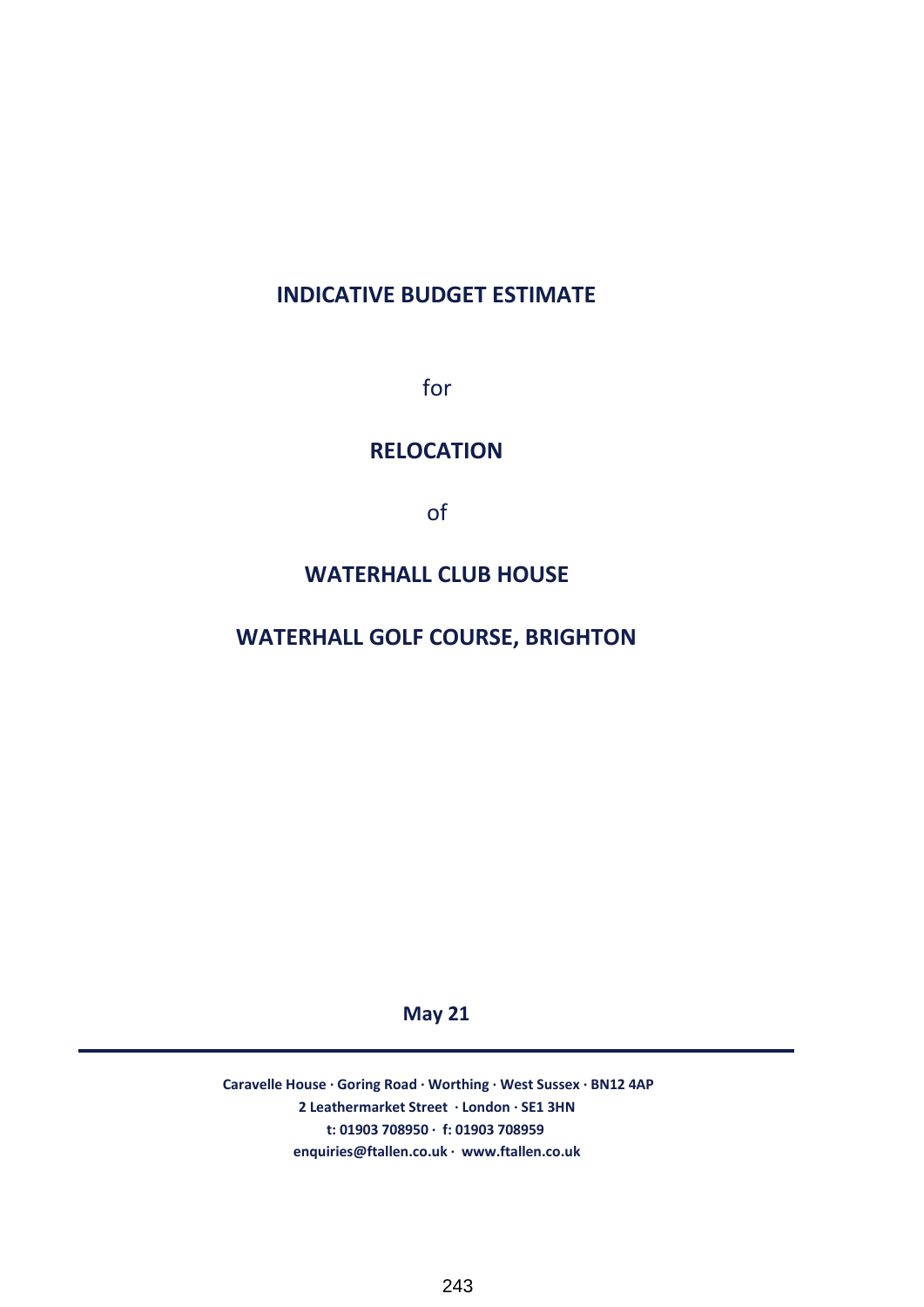# **INDICATIVE BUDGET ESTIMATE**

for

### **RELOCATION**

of

## **WATERHALL CLUB HOUSE**

## **WATERHALL GOLF COURSE, BRIGHTON**

**May 21**

**2 Leathermarket Street · London · SE1 3HN t: 01903 708950 · f: 01903 708959 enquiries@ftallen.co.uk · www.ftallen.co.uk Caravelle House · Goring Road · Worthing · West Sussex · BN12 4AP**